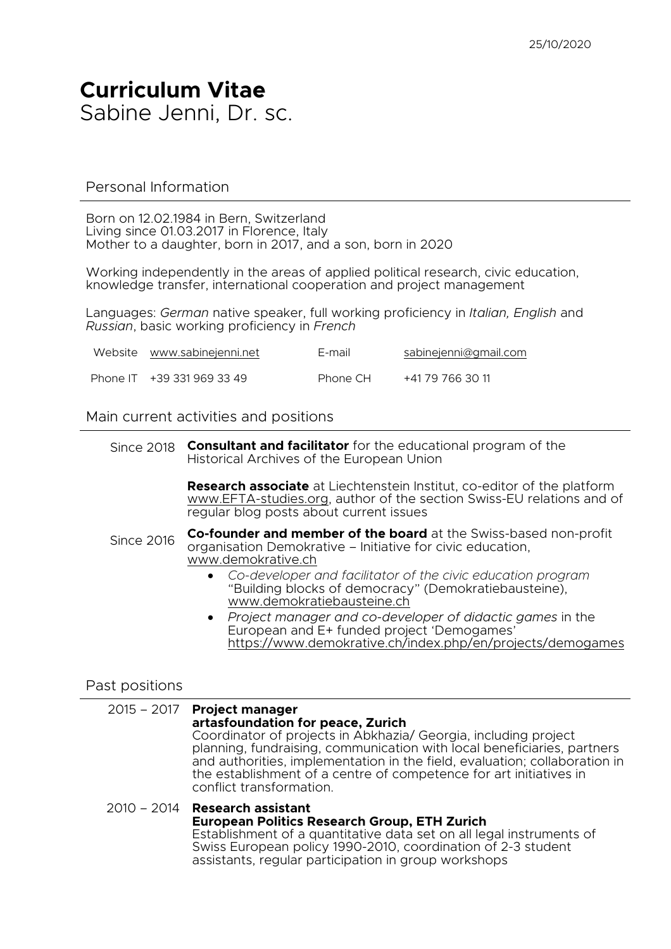## **Curriculum Vitae** Sabine Jenni, Dr. sc.

#### Personal Information

Born on 12.02.1984 in Bern, Switzerland Living since 01.03.2017 in Florence, Italy Mother to a daughter, born in 2017, and a son, born in 2020

Working independently in the areas of applied political research, civic education, knowledge transfer, international cooperation and project management

Languages: *German* native speaker, full working proficiency in *Italian, English* and *Russian*, basic working proficiency in *French*

| Website www.sabinejenni.net | E-mail   | sabinejenni@gmail.com |
|-----------------------------|----------|-----------------------|
| Phone IT +39 331 969 33 49  | Phone CH | +41 79 766 30 11      |

#### Main current activities and positions

Since 2018 **Consultant and facilitator** for the educational program of the Historical Archives of the European Union

> **Research associate** at Liechtenstein Institut, co-editor of the platform www.EFTA-studies.org, author of the section Swiss-EU relations and of regular blog posts about current issues

- Since 2016 **Co-founder and member of the board** at the Swiss-based non-profit organisation Demokrative – Initiative for civic education, www.demokrative.ch
	- *Co-developer and facilitator of the civic education program* "Building blocks of democracy" (Demokratiebausteine), www.demokratiebausteine.ch
	- *Project manager and co-developer of didactic games* in the European and E+ funded project 'Demogames' https://www.demokrative.ch/index.php/en/projects/demogames

#### Past positions

#### 2015 – 2017 **Project manager artasfoundation for peace, Zurich** Coordinator of projects in Abkhazia/ Georgia, including project planning, fundraising, communication with local beneficiaries, partners and authorities, implementation in the field, evaluation; collaboration in the establishment of a centre of competence for art initiatives in conflict transformation.

#### 2010 – 2014 **Research assistant European Politics Research Group, ETH Zurich** Establishment of a quantitative data set on all legal instruments of Swiss European policy 1990-2010, coordination of 2-3 student assistants, regular participation in group workshops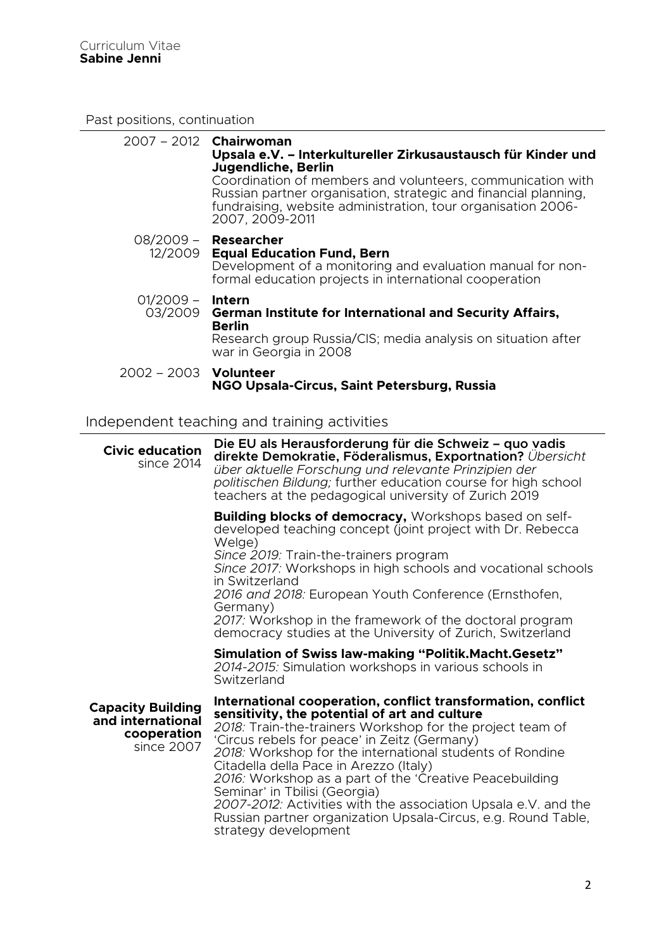Past positions, continuation

|                              | $2007 - 2012$ Chairwoman<br>Upsala e.V. - Interkultureller Zirkusaustausch für Kinder und<br>Jugendliche, Berlin<br>Coordination of members and volunteers, communication with<br>Russian partner organisation, strategic and financial planning,<br>fundraising, website administration, tour organisation 2006-<br>2007, 2009-2011 |
|------------------------------|--------------------------------------------------------------------------------------------------------------------------------------------------------------------------------------------------------------------------------------------------------------------------------------------------------------------------------------|
|                              | 08/2009 - <b>Researcher</b><br>12/2009 Equal Education Fund, Bern<br>Development of a monitoring and evaluation manual for non-<br>formal education projects in international cooperation                                                                                                                                            |
| 01/2009 –                    | <b>Intern</b><br>03/2009 German Institute for International and Security Affairs,<br><b>Berlin</b><br>Research group Russia/CIS; media analysis on situation after<br>war in Georgia in 2008                                                                                                                                         |
| 2002 - 2003 <b>Volunteer</b> | NGO Upsala-Circus, Saint Petersburg, Russia                                                                                                                                                                                                                                                                                          |

### Independent teaching and training activities

| <b>Civic education</b><br>since 2014                                       | Die EU als Herausforderung für die Schweiz – quo vadis<br>direkte Demokratie, Föderalismus, Exportnation? Übersicht<br>über aktuelle Forschung und relevante Prinzipien der<br>politischen Bildung; further education course for high school<br>teachers at the pedagogical university of Zurich 2019                                                                                                                                                                                                                                                                                   |
|----------------------------------------------------------------------------|-----------------------------------------------------------------------------------------------------------------------------------------------------------------------------------------------------------------------------------------------------------------------------------------------------------------------------------------------------------------------------------------------------------------------------------------------------------------------------------------------------------------------------------------------------------------------------------------|
|                                                                            | <b>Building blocks of democracy, Workshops based on self-</b><br>developed teaching concept (joint project with Dr. Rebecca<br>Welge)<br>Since 2019: Train-the-trainers program<br>Since 2017: Workshops in high schools and vocational schools<br>in Switzerland<br>2016 and 2018: European Youth Conference (Ernsthofen,<br>Germany)<br>2017: Workshop in the framework of the doctoral program<br>democracy studies at the University of Zurich, Switzerland                                                                                                                         |
|                                                                            | <b>Simulation of Swiss law-making "Politik. Macht. Gesetz"</b><br>2014-2015: Simulation workshops in various schools in<br>Switzerland                                                                                                                                                                                                                                                                                                                                                                                                                                                  |
| <b>Capacity Building</b><br>and international<br>cooperation<br>since 2007 | International cooperation, conflict transformation, conflict<br>sensitivity, the potential of art and culture<br>2018: Train-the-trainers Workshop for the project team of<br>'Circus rebels for peace' in Zeitz (Germany)<br>2018: Workshop for the international students of Rondine<br>Citadella della Pace in Arezzo (Italy)<br>2016: Workshop as a part of the 'Creative Peacebuilding<br>Seminar' in Tbilisi (Georgia)<br>2007-2012: Activities with the association Upsala e.V. and the<br>Russian partner organization Upsala-Circus, e.g. Round Table,<br>strategy development |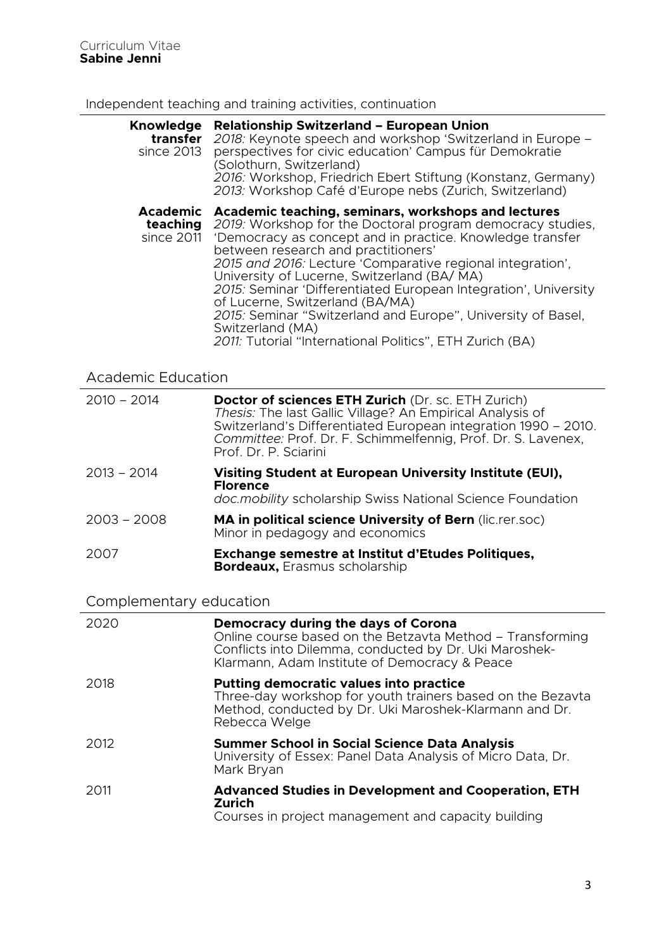### Independent teaching and training activities, continuation

| <b>Knowledge</b><br>transfer<br>since 2013 | <b>Relationship Switzerland - European Union</b><br>2018: Keynote speech and workshop 'Switzerland in Europe -<br>perspectives for civic education' Campus für Demokratie<br>(Solothurn, Switzerland)<br>2016: Workshop, Friedrich Ebert Stiftung (Konstanz, Germany)<br>2013: Workshop Café d'Europe nebs (Zurich, Switzerland)                                                                                                                                                                                                                                                        |  |  |
|--------------------------------------------|-----------------------------------------------------------------------------------------------------------------------------------------------------------------------------------------------------------------------------------------------------------------------------------------------------------------------------------------------------------------------------------------------------------------------------------------------------------------------------------------------------------------------------------------------------------------------------------------|--|--|
| <b>Academic</b><br>teaching<br>since 2011  | Academic teaching, seminars, workshops and lectures<br>2019: Workshop for the Doctoral program democracy studies,<br>'Democracy as concept and in practice. Knowledge transfer<br>between research and practitioners'<br>2015 and 2016: Lecture 'Comparative regional integration',<br>University of Lucerne, Switzerland (BA/MA)<br>2015: Seminar 'Differentiated European Integration', University<br>of Lucerne, Switzerland (BA/MA)<br>2015: Seminar "Switzerland and Europe", University of Basel,<br>Switzerland (MA)<br>2011: Tutorial "International Politics", ETH Zurich (BA) |  |  |
| <b>Academic Education</b>                  |                                                                                                                                                                                                                                                                                                                                                                                                                                                                                                                                                                                         |  |  |
| $2010 - 2014$                              | Doctor of sciences ETH Zurich (Dr. sc. ETH Zurich)<br>Thesis: The last Gallic Village? An Empirical Analysis of<br>Switzerland's Differentiated European integration 1990 - 2010.<br>Committee: Prof. Dr. F. Schimmelfennig, Prof. Dr. S. Lavenex,<br>Prof. Dr. P. Sciarini                                                                                                                                                                                                                                                                                                             |  |  |
| $2013 - 2014$                              | Visiting Student at European University Institute (EUI),<br><b>Florence</b><br>doc.mobility scholarship Swiss National Science Foundation                                                                                                                                                                                                                                                                                                                                                                                                                                               |  |  |
| $2003 - 2008$                              | MA in political science University of Bern (lic.rer.soc)<br>Minor in pedagogy and economics                                                                                                                                                                                                                                                                                                                                                                                                                                                                                             |  |  |
| 2007                                       | Exchange semestre at Institut d'Etudes Politiques,<br><b>Bordeaux, Erasmus scholarship</b>                                                                                                                                                                                                                                                                                                                                                                                                                                                                                              |  |  |
| Complementary education                    |                                                                                                                                                                                                                                                                                                                                                                                                                                                                                                                                                                                         |  |  |
| 2020                                       | Democracy during the days of Corona<br>Online course based on the Betzavta Method – Transforming<br>Conflicts into Dilemma, conducted by Dr. Uki Maroshek-<br>Klarmann, Adam Institute of Democracy & Peace                                                                                                                                                                                                                                                                                                                                                                             |  |  |
| 2018                                       | <b>Putting democratic values into practice</b><br>Three-day workshop for youth trainers based on the Bezavta<br>Method, conducted by Dr. Uki Maroshek-Klarmann and Dr.<br>Rebecca Welge                                                                                                                                                                                                                                                                                                                                                                                                 |  |  |
| 2012                                       | <b>Summer School in Social Science Data Analysis</b><br>University of Essex: Panel Data Analysis of Micro Data, Dr.<br>Mark Bryan                                                                                                                                                                                                                                                                                                                                                                                                                                                       |  |  |
| 2011                                       | <b>Advanced Studies in Development and Cooperation, ETH</b><br>Zurich                                                                                                                                                                                                                                                                                                                                                                                                                                                                                                                   |  |  |

Courses in project management and capacity building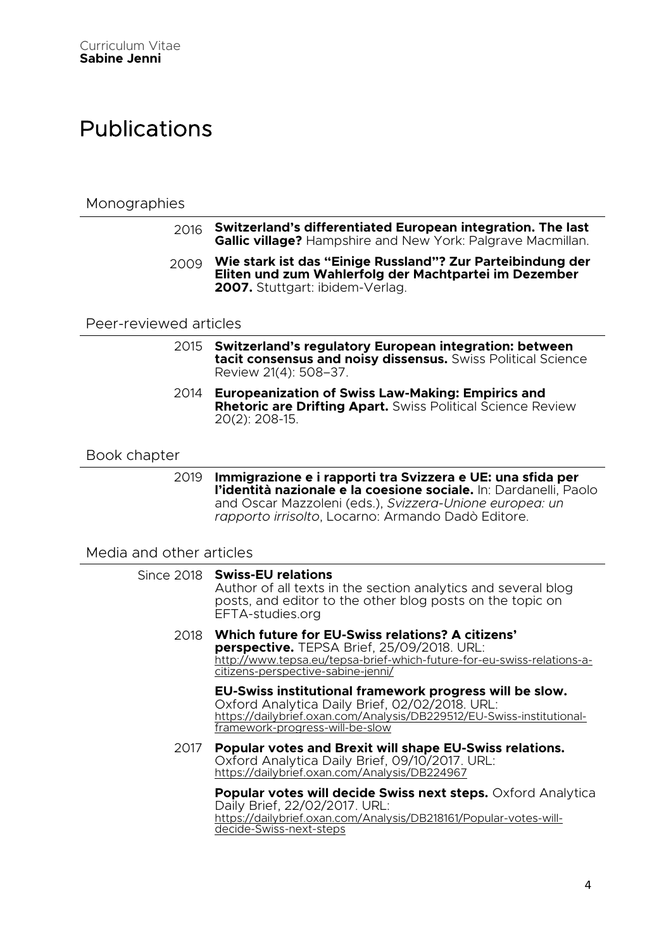# Publications

### **Monographies**

- 2016 **Switzerland's differentiated European integration. The last Gallic village?** Hampshire and New York: Palgrave Macmillan.
- 2009 **Wie stark ist das "Einige Russland"? Zur Parteibindung der Eliten und zum Wahlerfolg der Machtpartei im Dezember 2007.** Stuttgart: ibidem-Verlag.

#### Peer-reviewed articles

- 2015 **Switzerland's regulatory European integration: between tacit consensus and noisy dissensus.** Swiss Political Science Review 21(4): 508–37.
- 2014 **Europeanization of Swiss Law-Making: Empirics and Rhetoric are Drifting Apart.** Swiss Political Science Review 20(2): 208-15.

#### Book chapter

2019 **Immigrazione e i rapporti tra Svizzera e UE: una sfida per l'identità nazionale e la coesione sociale.** In: Dardanelli, Paolo and Oscar Mazzoleni (eds.), *Svizzera-Unione europea: un rapporto irrisolto*, Locarno: Armando Dadò Editore.

### Media and other articles

|      | Since 2018 Swiss-EU relations<br>Author of all texts in the section analytics and several blog<br>posts, and editor to the other blog posts on the topic on<br>EFTA-studies.org                                       |
|------|-----------------------------------------------------------------------------------------------------------------------------------------------------------------------------------------------------------------------|
|      | 2018 Which future for EU-Swiss relations? A citizens'<br>perspective. TEPSA Brief, 25/09/2018. URL:<br>http://www.tepsa.eu/tepsa-brief-which-future-for-eu-swiss-relations-a-<br>citizens-perspective-sabine-jenni/   |
|      | EU-Swiss institutional framework progress will be slow.<br>Oxford Analytica Daily Brief, 02/02/2018. URL:<br>https://dailybrief.oxan.com/Analysis/DB229512/EU-Swiss-institutional-<br>framework-progress-will-be-slow |
| 2017 | <b>Popular votes and Brexit will shape EU-Swiss relations.</b><br>Oxford Analytica Daily Brief, 09/10/2017. URL:<br>https://dailybrief.oxan.com/Analysis/DB224967                                                     |
|      | <b>Popular votes will decide Swiss next steps.</b> Oxford Analytica<br>Daily Brief, 22/02/2017. URL:<br>https://dailybrief.oxan.com/Analysis/DB218161/Popular-votes-will-<br>decide-Swiss-next-steps                  |